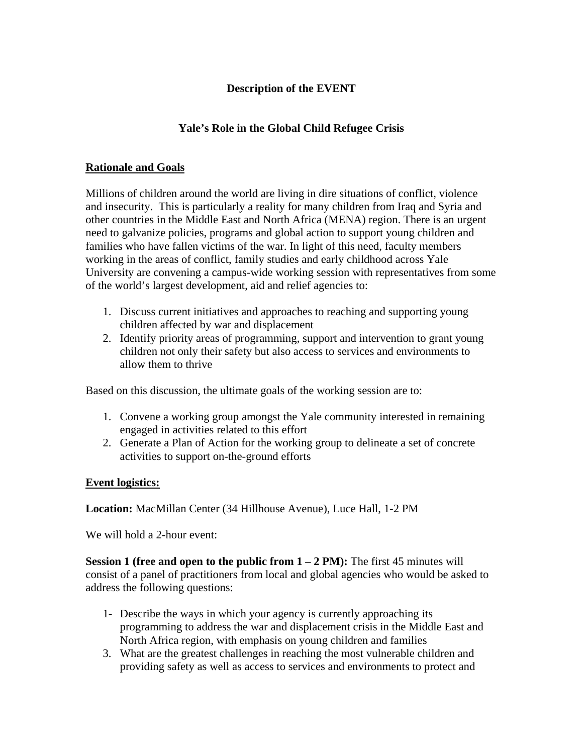## **Description of the EVENT**

## **Yale's Role in the Global Child Refugee Crisis**

## **Rationale and Goals**

Millions of children around the world are living in dire situations of conflict, violence and insecurity. This is particularly a reality for many children from Iraq and Syria and other countries in the Middle East and North Africa (MENA) region. There is an urgent need to galvanize policies, programs and global action to support young children and families who have fallen victims of the war. In light of this need, faculty members working in the areas of conflict, family studies and early childhood across Yale University are convening a campus-wide working session with representatives from some of the world's largest development, aid and relief agencies to:

- 1. Discuss current initiatives and approaches to reaching and supporting young children affected by war and displacement
- 2. Identify priority areas of programming, support and intervention to grant young children not only their safety but also access to services and environments to allow them to thrive

Based on this discussion, the ultimate goals of the working session are to:

- 1. Convene a working group amongst the Yale community interested in remaining engaged in activities related to this effort
- 2. Generate a Plan of Action for the working group to delineate a set of concrete activities to support on-the-ground efforts

## **Event logistics:**

**Location:** MacMillan Center (34 Hillhouse Avenue), Luce Hall, 1-2 PM

We will hold a 2-hour event:

**Session 1 (free and open to the public from 1 – 2 PM):** The first 45 minutes will consist of a panel of practitioners from local and global agencies who would be asked to address the following questions:

- 1- Describe the ways in which your agency is currently approaching its programming to address the war and displacement crisis in the Middle East and North Africa region, with emphasis on young children and families
- 3. What are the greatest challenges in reaching the most vulnerable children and providing safety as well as access to services and environments to protect and